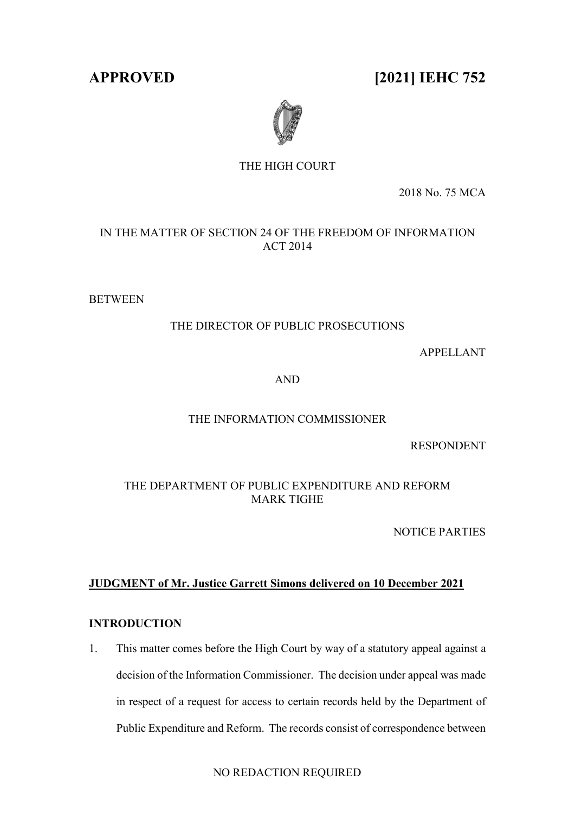**APPROVED [2021] IEHC 752**



# THE HIGH COURT

2018 No. 75 MCA

IN THE MATTER OF SECTION 24 OF THE FREEDOM OF INFORMATION ACT 2014

**BETWEEN** 

## THE DIRECTOR OF PUBLIC PROSECUTIONS

APPELLANT

AND

## THE INFORMATION COMMISSIONER

RESPONDENT

THE DEPARTMENT OF PUBLIC EXPENDITURE AND REFORM MARK TIGHE

NOTICE PARTIES

## **JUDGMENT of Mr. Justice Garrett Simons delivered on 10 December 2021**

## **INTRODUCTION**

1. This matter comes before the High Court by way of a statutory appeal against a decision of the Information Commissioner. The decision under appeal was made in respect of a request for access to certain records held by the Department of Public Expenditure and Reform. The records consist of correspondence between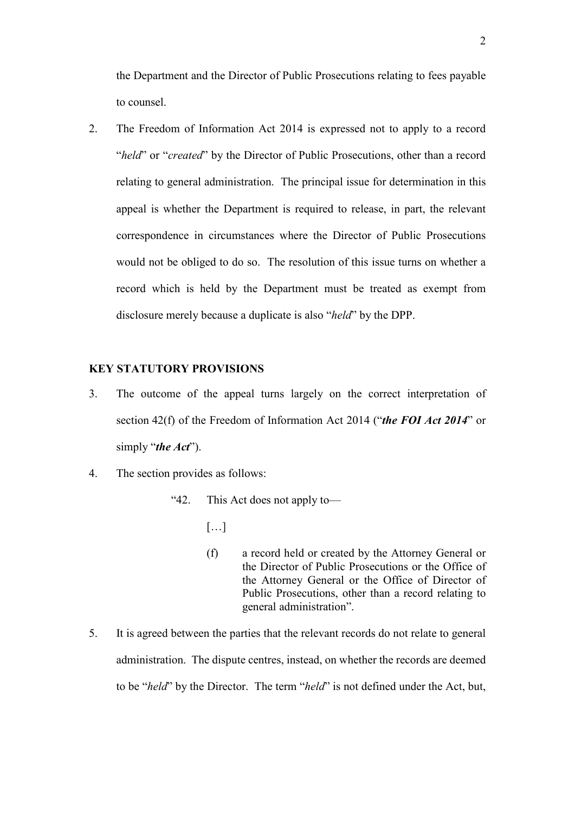the Department and the Director of Public Prosecutions relating to fees payable to counsel.

2. The Freedom of Information Act 2014 is expressed not to apply to a record "*held*" or "*created*" by the Director of Public Prosecutions, other than a record relating to general administration. The principal issue for determination in this appeal is whether the Department is required to release, in part, the relevant correspondence in circumstances where the Director of Public Prosecutions would not be obliged to do so. The resolution of this issue turns on whether a record which is held by the Department must be treated as exempt from disclosure merely because a duplicate is also "*held*" by the DPP.

## **KEY STATUTORY PROVISIONS**

- 3. The outcome of the appeal turns largely on the correct interpretation of section 42(f) of the Freedom of Information Act 2014 ("*the FOI Act 2014*" or simply "*the Act*").
- 4. The section provides as follows:

"42. This Act does not apply to—

- $[\ldots]$
- (f) a record held or created by the Attorney General or the Director of Public Prosecutions or the Office of the Attorney General or the Office of Director of Public Prosecutions, other than a record relating to general administration".
- 5. It is agreed between the parties that the relevant records do not relate to general administration. The dispute centres, instead, on whether the records are deemed to be "*held*" by the Director. The term "*held*" is not defined under the Act, but,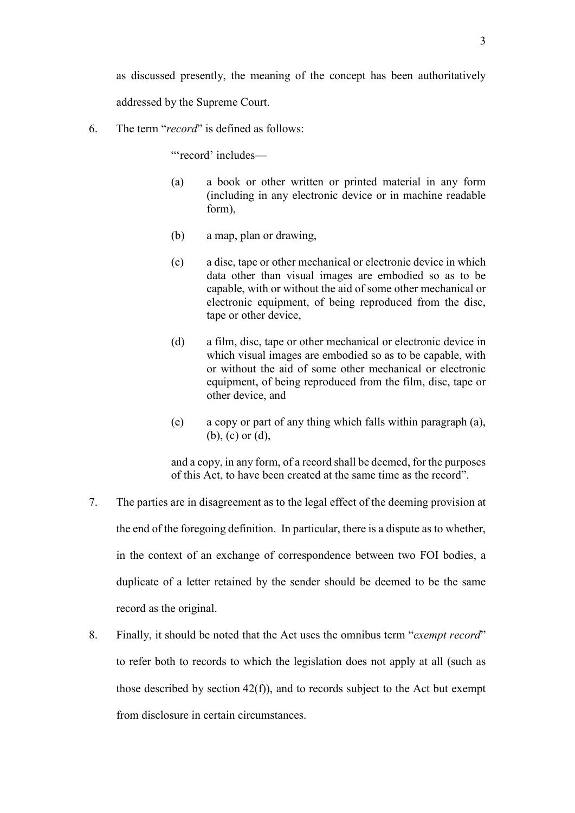as discussed presently, the meaning of the concept has been authoritatively addressed by the Supreme Court.

<span id="page-2-0"></span>6. The term "*record*" is defined as follows:

"'record' includes—

- (a) a book or other written or printed material in any form (including in any electronic device or in machine readable form),
- (b) a map, plan or drawing,
- (c) a disc, tape or other mechanical or electronic device in which data other than visual images are embodied so as to be capable, with or without the aid of some other mechanical or electronic equipment, of being reproduced from the disc, tape or other device,
- (d) a film, disc, tape or other mechanical or electronic device in which visual images are embodied so as to be capable, with or without the aid of some other mechanical or electronic equipment, of being reproduced from the film, disc, tape or other device, and
- (e) a copy or part of any thing which falls within paragraph (a), (b), (c) or (d),

and a copy, in any form, of a record shall be deemed, for the purposes of this Act, to have been created at the same time as the record".

- 7. The parties are in disagreement as to the legal effect of the deeming provision at the end of the foregoing definition. In particular, there is a dispute as to whether, in the context of an exchange of correspondence between two FOI bodies, a duplicate of a letter retained by the sender should be deemed to be the same record as the original.
- 8. Finally, it should be noted that the Act uses the omnibus term "*exempt record*" to refer both to records to which the legislation does not apply at all (such as those described by section  $42(f)$ ), and to records subject to the Act but exempt from disclosure in certain circumstances.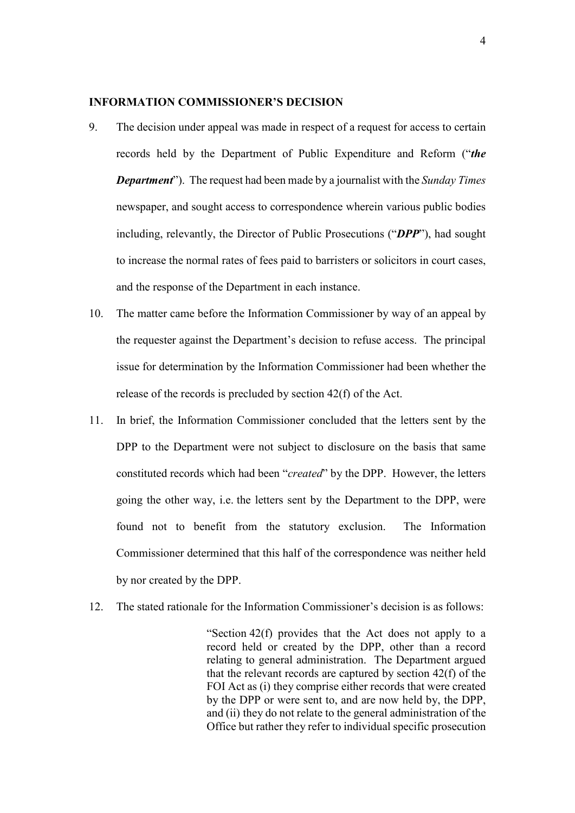#### **INFORMATION COMMISSIONER'S DECISION**

- 9. The decision under appeal was made in respect of a request for access to certain records held by the Department of Public Expenditure and Reform ("*the Department*"). The request had been made by a journalist with the *Sunday Times* newspaper, and sought access to correspondence wherein various public bodies including, relevantly, the Director of Public Prosecutions ("*DPP*"), had sought to increase the normal rates of fees paid to barristers or solicitors in court cases, and the response of the Department in each instance.
- 10. The matter came before the Information Commissioner by way of an appeal by the requester against the Department's decision to refuse access. The principal issue for determination by the Information Commissioner had been whether the release of the records is precluded by section 42(f) of the Act.
- 11. In brief, the Information Commissioner concluded that the letters sent by the DPP to the Department were not subject to disclosure on the basis that same constituted records which had been "*created*" by the DPP. However, the letters going the other way, i.e. the letters sent by the Department to the DPP, were found not to benefit from the statutory exclusion. The Information Commissioner determined that this half of the correspondence was neither held by nor created by the DPP.
- 12. The stated rationale for the Information Commissioner's decision is as follows:

"Section 42(f) provides that the Act does not apply to a record held or created by the DPP, other than a record relating to general administration. The Department argued that the relevant records are captured by section 42(f) of the FOI Act as (i) they comprise either records that were created by the DPP or were sent to, and are now held by, the DPP, and (ii) they do not relate to the general administration of the Office but rather they refer to individual specific prosecution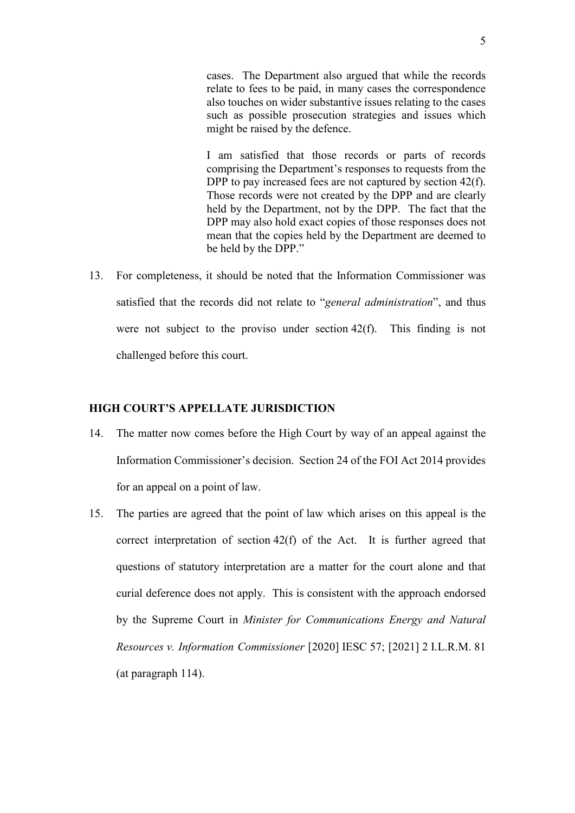cases. The Department also argued that while the records relate to fees to be paid, in many cases the correspondence also touches on wider substantive issues relating to the cases such as possible prosecution strategies and issues which might be raised by the defence.

I am satisfied that those records or parts of records comprising the Department's responses to requests from the DPP to pay increased fees are not captured by section 42(f). Those records were not created by the DPP and are clearly held by the Department, not by the DPP. The fact that the DPP may also hold exact copies of those responses does not mean that the copies held by the Department are deemed to be held by the DPP."

13. For completeness, it should be noted that the Information Commissioner was satisfied that the records did not relate to "*general administration*", and thus were not subject to the proviso under section 42(f). This finding is not challenged before this court.

### **HIGH COURT'S APPELLATE JURISDICTION**

- 14. The matter now comes before the High Court by way of an appeal against the Information Commissioner's decision. Section 24 of the FOI Act 2014 provides for an appeal on a point of law.
- 15. The parties are agreed that the point of law which arises on this appeal is the correct interpretation of section 42(f) of the Act. It is further agreed that questions of statutory interpretation are a matter for the court alone and that curial deference does not apply. This is consistent with the approach endorsed by the Supreme Court in *Minister for Communications Energy and Natural Resources v. Information Commissioner* [2020] IESC 57; [2021] 2 I.L.R.M. 81 (at paragraph 114).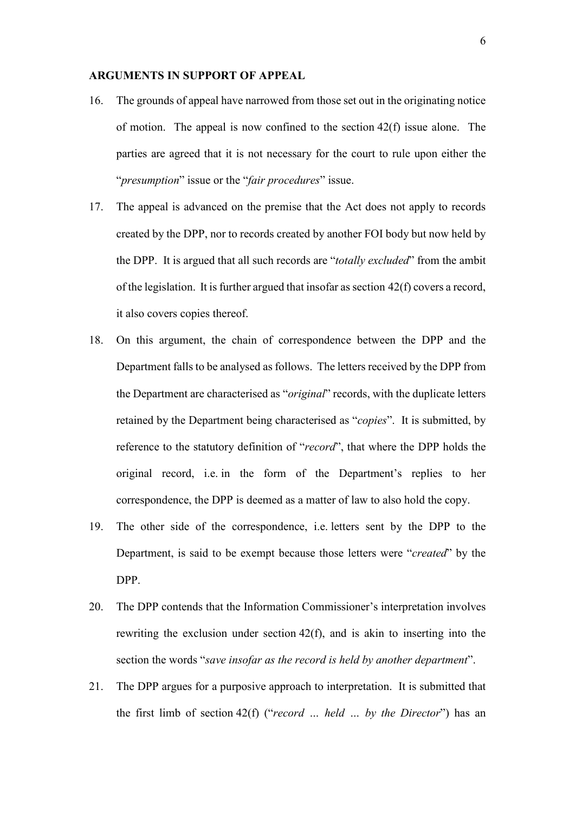### **ARGUMENTS IN SUPPORT OF APPEAL**

- 16. The grounds of appeal have narrowed from those set out in the originating notice of motion. The appeal is now confined to the section  $42(f)$  issue alone. The parties are agreed that it is not necessary for the court to rule upon either the "*presumption*" issue or the "*fair procedures*" issue.
- 17. The appeal is advanced on the premise that the Act does not apply to records created by the DPP, nor to records created by another FOI body but now held by the DPP. It is argued that all such records are "*totally excluded*" from the ambit of the legislation. It is further argued that insofar as section  $42(f)$  covers a record, it also covers copies thereof.
- 18. On this argument, the chain of correspondence between the DPP and the Department falls to be analysed as follows. The letters received by the DPP from the Department are characterised as "*original*" records, with the duplicate letters retained by the Department being characterised as "*copies*". It is submitted, by reference to the statutory definition of "*record*", that where the DPP holds the original record, i.e. in the form of the Department's replies to her correspondence, the DPP is deemed as a matter of law to also hold the copy.
- 19. The other side of the correspondence, i.e. letters sent by the DPP to the Department, is said to be exempt because those letters were "*created*" by the DPP.
- 20. The DPP contends that the Information Commissioner's interpretation involves rewriting the exclusion under section 42(f), and is akin to inserting into the section the words "*save insofar as the record is held by another department*".
- 21. The DPP argues for a purposive approach to interpretation. It is submitted that the first limb of section 42(f) ("*record … held … by the Director*") has an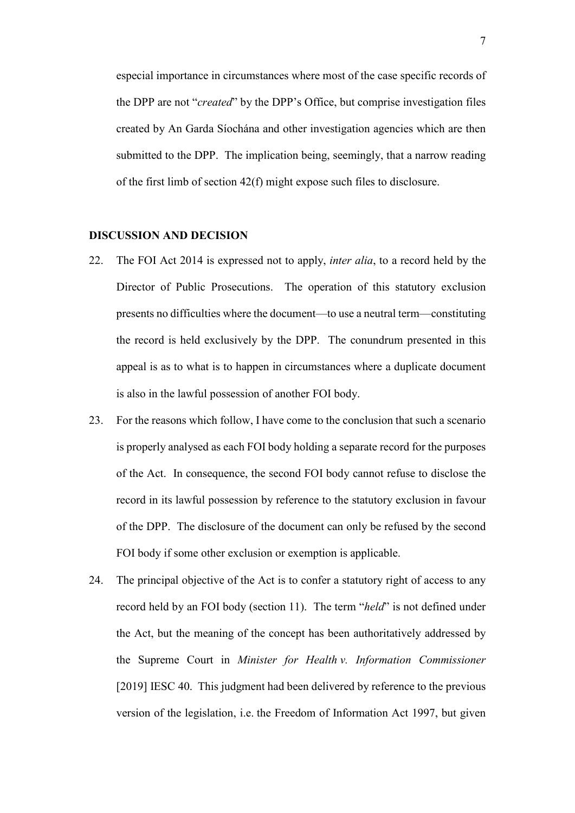especial importance in circumstances where most of the case specific records of the DPP are not "*created*" by the DPP's Office, but comprise investigation files created by An Garda Síochána and other investigation agencies which are then submitted to the DPP. The implication being, seemingly, that a narrow reading of the first limb of section 42(f) might expose such files to disclosure.

### **DISCUSSION AND DECISION**

- 22. The FOI Act 2014 is expressed not to apply, *inter alia*, to a record held by the Director of Public Prosecutions. The operation of this statutory exclusion presents no difficulties where the document—to use a neutral term—constituting the record is held exclusively by the DPP. The conundrum presented in this appeal is as to what is to happen in circumstances where a duplicate document is also in the lawful possession of another FOI body.
- 23. For the reasons which follow, I have come to the conclusion that such a scenario is properly analysed as each FOI body holding a separate record for the purposes of the Act. In consequence, the second FOI body cannot refuse to disclose the record in its lawful possession by reference to the statutory exclusion in favour of the DPP. The disclosure of the document can only be refused by the second FOI body if some other exclusion or exemption is applicable.
- 24. The principal objective of the Act is to confer a statutory right of access to any record held by an FOI body (section 11). The term "*held*" is not defined under the Act, but the meaning of the concept has been authoritatively addressed by the Supreme Court in *Minister for Health v. Information Commissioner* [2019] IESC 40. This judgment had been delivered by reference to the previous version of the legislation, i.e. the Freedom of Information Act 1997, but given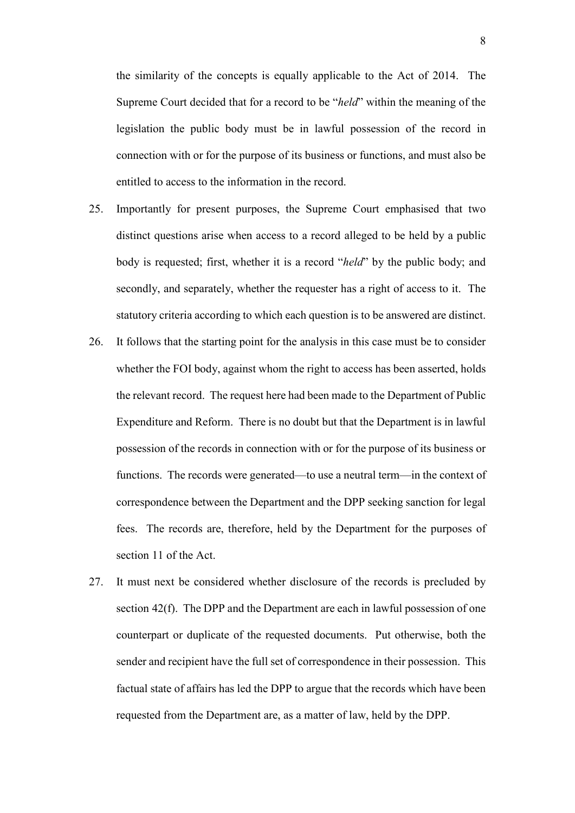the similarity of the concepts is equally applicable to the Act of 2014. The Supreme Court decided that for a record to be "*held*" within the meaning of the legislation the public body must be in lawful possession of the record in connection with or for the purpose of its business or functions, and must also be entitled to access to the information in the record.

- 25. Importantly for present purposes, the Supreme Court emphasised that two distinct questions arise when access to a record alleged to be held by a public body is requested; first, whether it is a record "*held*" by the public body; and secondly, and separately, whether the requester has a right of access to it. The statutory criteria according to which each question is to be answered are distinct.
- 26. It follows that the starting point for the analysis in this case must be to consider whether the FOI body, against whom the right to access has been asserted, holds the relevant record. The request here had been made to the Department of Public Expenditure and Reform. There is no doubt but that the Department is in lawful possession of the records in connection with or for the purpose of its business or functions. The records were generated—to use a neutral term—in the context of correspondence between the Department and the DPP seeking sanction for legal fees. The records are, therefore, held by the Department for the purposes of section 11 of the Act.
- 27. It must next be considered whether disclosure of the records is precluded by section 42(f). The DPP and the Department are each in lawful possession of one counterpart or duplicate of the requested documents. Put otherwise, both the sender and recipient have the full set of correspondence in their possession. This factual state of affairs has led the DPP to argue that the records which have been requested from the Department are, as a matter of law, held by the DPP.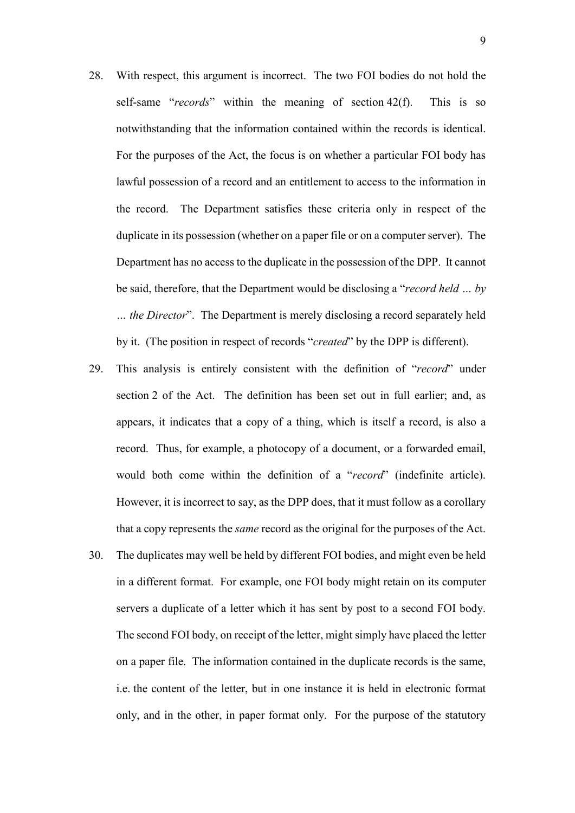- 28. With respect, this argument is incorrect. The two FOI bodies do not hold the self-same "*records*" within the meaning of section 42(f). This is so notwithstanding that the information contained within the records is identical. For the purposes of the Act, the focus is on whether a particular FOI body has lawful possession of a record and an entitlement to access to the information in the record. The Department satisfies these criteria only in respect of the duplicate in its possession (whether on a paper file or on a computer server). The Department has no access to the duplicate in the possession of the DPP. It cannot be said, therefore, that the Department would be disclosing a "*record held … by … the Director*". The Department is merely disclosing a record separately held by it. (The position in respect of records "*created*" by the DPP is different).
- 29. This analysis is entirely consistent with the definition of "*record*" under section 2 of the Act. The definition has been set out in full earlier; and, as appears, it indicates that a copy of a thing, which is itself a record, is also a record. Thus, for example, a photocopy of a document, or a forwarded email, would both come within the definition of a "*record*" (indefinite article). However, it is incorrect to say, as the DPP does, that it must follow as a corollary that a copy represents the *same* record as the original for the purposes of the Act.
- 30. The duplicates may well be held by different FOI bodies, and might even be held in a different format. For example, one FOI body might retain on its computer servers a duplicate of a letter which it has sent by post to a second FOI body. The second FOI body, on receipt of the letter, might simply have placed the letter on a paper file. The information contained in the duplicate records is the same, i.e. the content of the letter, but in one instance it is held in electronic format only, and in the other, in paper format only. For the purpose of the statutory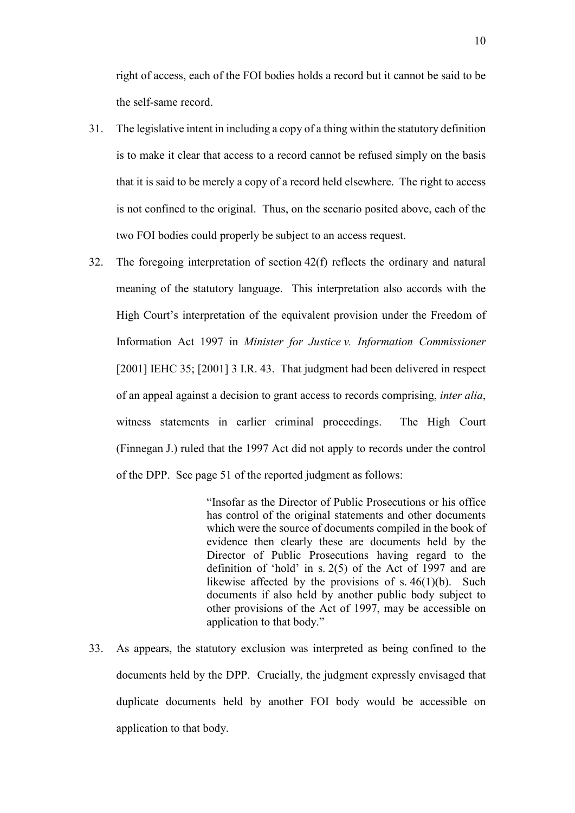right of access, each of the FOI bodies holds a record but it cannot be said to be the self-same record.

- 31. The legislative intent in including a copy of a thing within the statutory definition is to make it clear that access to a record cannot be refused simply on the basis that it is said to be merely a copy of a record held elsewhere. The right to access is not confined to the original. Thus, on the scenario posited above, each of the two FOI bodies could properly be subject to an access request.
- 32. The foregoing interpretation of section 42(f) reflects the ordinary and natural meaning of the statutory language. This interpretation also accords with the High Court's interpretation of the equivalent provision under the Freedom of Information Act 1997 in *Minister for Justice v. Information Commissioner* [2001] IEHC 35; [2001] 3 I.R. 43. That judgment had been delivered in respect of an appeal against a decision to grant access to records comprising, *inter alia*, witness statements in earlier criminal proceedings. The High Court (Finnegan J.) ruled that the 1997 Act did not apply to records under the control of the DPP. See page 51 of the reported judgment as follows:

"Insofar as the Director of Public Prosecutions or his office has control of the original statements and other documents which were the source of documents compiled in the book of evidence then clearly these are documents held by the Director of Public Prosecutions having regard to the definition of 'hold' in s. 2(5) of the Act of 1997 and are likewise affected by the provisions of s.  $46(1)(b)$ . Such documents if also held by another public body subject to other provisions of the Act of 1997, may be accessible on application to that body."

33. As appears, the statutory exclusion was interpreted as being confined to the documents held by the DPP. Crucially, the judgment expressly envisaged that duplicate documents held by another FOI body would be accessible on application to that body.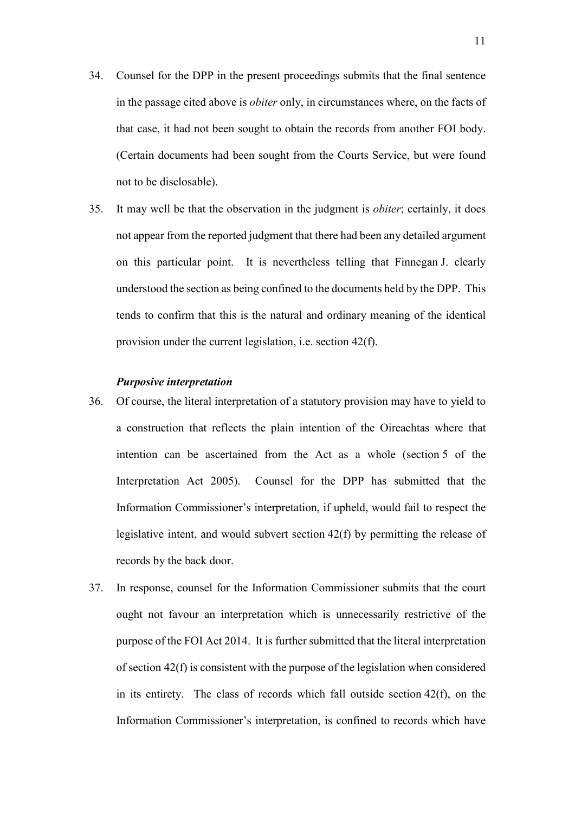- 34. Counsel for the DPP in the present proceedings submits that the final sentence in the passage cited above is *obiter* only, in circumstances where, on the facts of that case, it had not been sought to obtain the records from another FOI body. (Certain documents had been sought from the Courts Service, but were found not to be disclosable).
- 35. It may well be that the observation in the judgment is *obiter*; certainly, it does not appear from the reported judgment that there had been any detailed argument on this particular point. It is nevertheless telling that Finnegan J. clearly understood the section as being confined to the documents held by the DPP. This tends to confirm that this is the natural and ordinary meaning of the identical provision under the current legislation, i.e. section 42(f).

#### *Purposive interpretation*

- 36. Of course, the literal interpretation of a statutory provision may have to yield to a construction that reflects the plain intention of the Oireachtas where that intention can be ascertained from the Act as a whole (section 5 of the Interpretation Act 2005). Counsel for the DPP has submitted that the Information Commissioner's interpretation, if upheld, would fail to respect the legislative intent, and would subvert section 42(f) by permitting the release of records by the back door.
- 37. In response, counsel for the Information Commissioner submits that the court ought not favour an interpretation which is unnecessarily restrictive of the purpose of the FOI Act 2014. It is further submitted that the literal interpretation of section 42(f) is consistent with the purpose of the legislation when considered in its entirety. The class of records which fall outside section 42(f), on the Information Commissioner's interpretation, is confined to records which have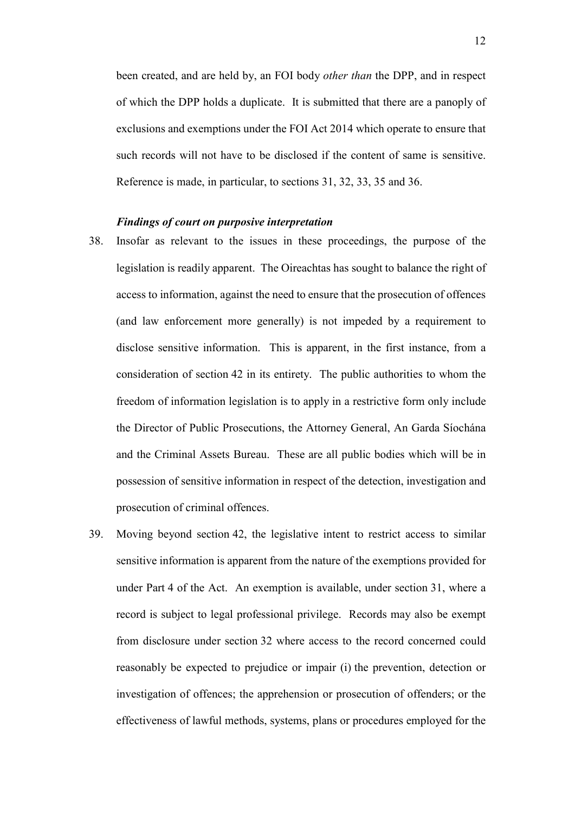been created, and are held by, an FOI body *other than* the DPP, and in respect of which the DPP holds a duplicate. It is submitted that there are a panoply of exclusions and exemptions under the FOI Act 2014 which operate to ensure that such records will not have to be disclosed if the content of same is sensitive. Reference is made, in particular, to sections 31, 32, 33, 35 and 36.

#### *Findings of court on purposive interpretation*

- 38. Insofar as relevant to the issues in these proceedings, the purpose of the legislation is readily apparent. The Oireachtas has sought to balance the right of access to information, against the need to ensure that the prosecution of offences (and law enforcement more generally) is not impeded by a requirement to disclose sensitive information. This is apparent, in the first instance, from a consideration of section 42 in its entirety. The public authorities to whom the freedom of information legislation is to apply in a restrictive form only include the Director of Public Prosecutions, the Attorney General, An Garda Síochána and the Criminal Assets Bureau. These are all public bodies which will be in possession of sensitive information in respect of the detection, investigation and prosecution of criminal offences.
- 39. Moving beyond section 42, the legislative intent to restrict access to similar sensitive information is apparent from the nature of the exemptions provided for under Part 4 of the Act. An exemption is available, under section 31, where a record is subject to legal professional privilege. Records may also be exempt from disclosure under section 32 where access to the record concerned could reasonably be expected to prejudice or impair (i) the prevention, detection or investigation of offences; the apprehension or prosecution of offenders; or the effectiveness of lawful methods, systems, plans or procedures employed for the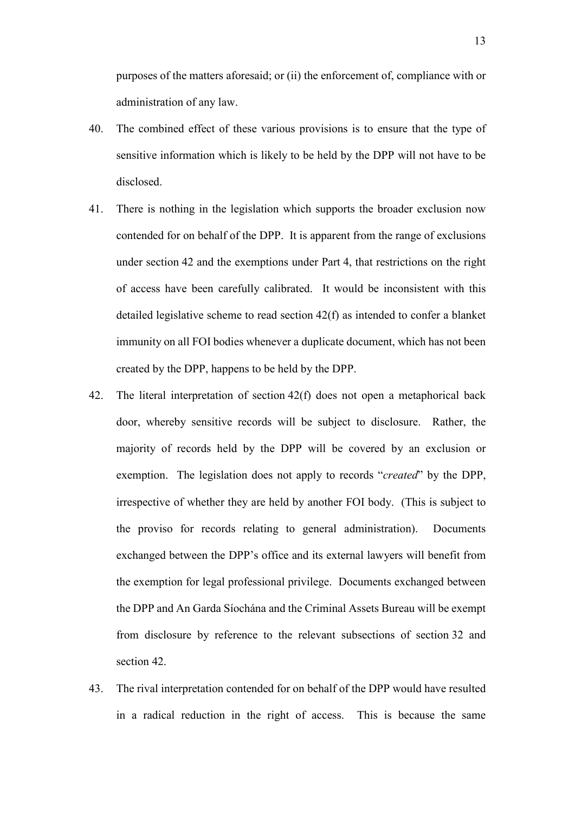purposes of the matters aforesaid; or (ii) the enforcement of, compliance with or administration of any law.

- 40. The combined effect of these various provisions is to ensure that the type of sensitive information which is likely to be held by the DPP will not have to be disclosed.
- 41. There is nothing in the legislation which supports the broader exclusion now contended for on behalf of the DPP. It is apparent from the range of exclusions under section 42 and the exemptions under Part 4, that restrictions on the right of access have been carefully calibrated. It would be inconsistent with this detailed legislative scheme to read section 42(f) as intended to confer a blanket immunity on all FOI bodies whenever a duplicate document, which has not been created by the DPP, happens to be held by the DPP.
- 42. The literal interpretation of section 42(f) does not open a metaphorical back door, whereby sensitive records will be subject to disclosure. Rather, the majority of records held by the DPP will be covered by an exclusion or exemption. The legislation does not apply to records "*created*" by the DPP, irrespective of whether they are held by another FOI body. (This is subject to the proviso for records relating to general administration). Documents exchanged between the DPP's office and its external lawyers will benefit from the exemption for legal professional privilege. Documents exchanged between the DPP and An Garda Síochána and the Criminal Assets Bureau will be exempt from disclosure by reference to the relevant subsections of section 32 and section 42.
- 43. The rival interpretation contended for on behalf of the DPP would have resulted in a radical reduction in the right of access. This is because the same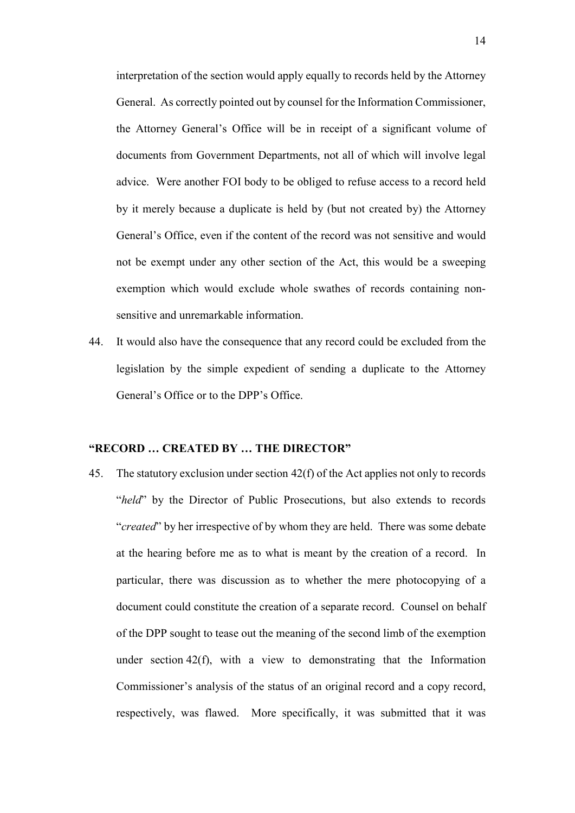interpretation of the section would apply equally to records held by the Attorney General. As correctly pointed out by counsel for the Information Commissioner, the Attorney General's Office will be in receipt of a significant volume of documents from Government Departments, not all of which will involve legal advice. Were another FOI body to be obliged to refuse access to a record held by it merely because a duplicate is held by (but not created by) the Attorney General's Office, even if the content of the record was not sensitive and would not be exempt under any other section of the Act, this would be a sweeping exemption which would exclude whole swathes of records containing nonsensitive and unremarkable information.

44. It would also have the consequence that any record could be excluded from the legislation by the simple expedient of sending a duplicate to the Attorney General's Office or to the DPP's Office.

#### **"RECORD … CREATED BY … THE DIRECTOR"**

<span id="page-13-0"></span>45. The statutory exclusion under section 42(f) of the Act applies not only to records "*held*" by the Director of Public Prosecutions, but also extends to records "*created*" by her irrespective of by whom they are held. There was some debate at the hearing before me as to what is meant by the creation of a record. In particular, there was discussion as to whether the mere photocopying of a document could constitute the creation of a separate record. Counsel on behalf of the DPP sought to tease out the meaning of the second limb of the exemption under section 42(f), with a view to demonstrating that the Information Commissioner's analysis of the status of an original record and a copy record, respectively, was flawed. More specifically, it was submitted that it was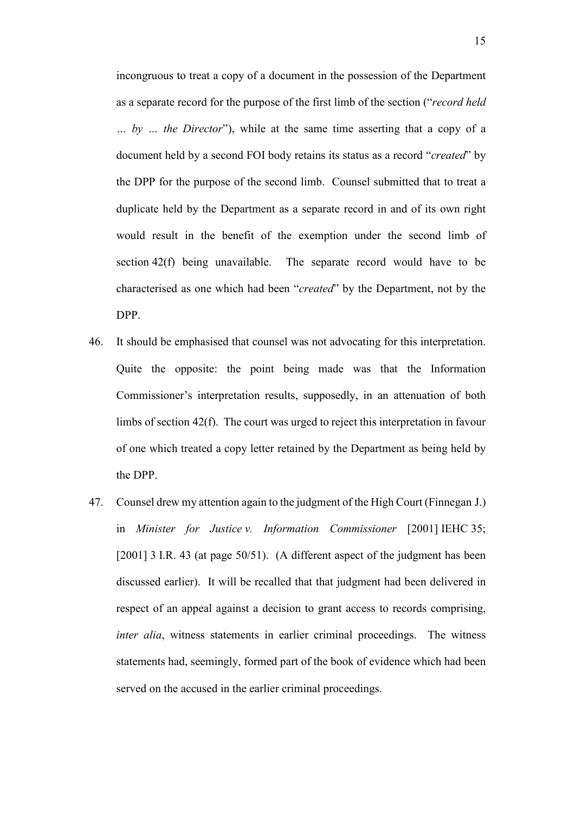incongruous to treat a copy of a document in the possession of the Department as a separate record for the purpose of the first limb of the section ("*record held … by … the Director*"), while at the same time asserting that a copy of a document held by a second FOI body retains its status as a record "*created*" by the DPP for the purpose of the second limb. Counsel submitted that to treat a duplicate held by the Department as a separate record in and of its own right would result in the benefit of the exemption under the second limb of section 42(f) being unavailable. The separate record would have to be characterised as one which had been "*created*" by the Department, not by the DPP.

- 46. It should be emphasised that counsel was not advocating for this interpretation. Quite the opposite: the point being made was that the Information Commissioner's interpretation results, supposedly, in an attenuation of both limbs of section 42(f). The court was urged to reject this interpretation in favour of one which treated a copy letter retained by the Department as being held by the DPP.
- 47. Counsel drew my attention again to the judgment of the High Court (Finnegan J.) in *Minister for Justice v. Information Commissioner* [2001] IEHC 35; [2001] 3 I.R. 43 (at page 50/51). (A different aspect of the judgment has been discussed earlier). It will be recalled that that judgment had been delivered in respect of an appeal against a decision to grant access to records comprising, *inter alia*, witness statements in earlier criminal proceedings. The witness statements had, seemingly, formed part of the book of evidence which had been served on the accused in the earlier criminal proceedings.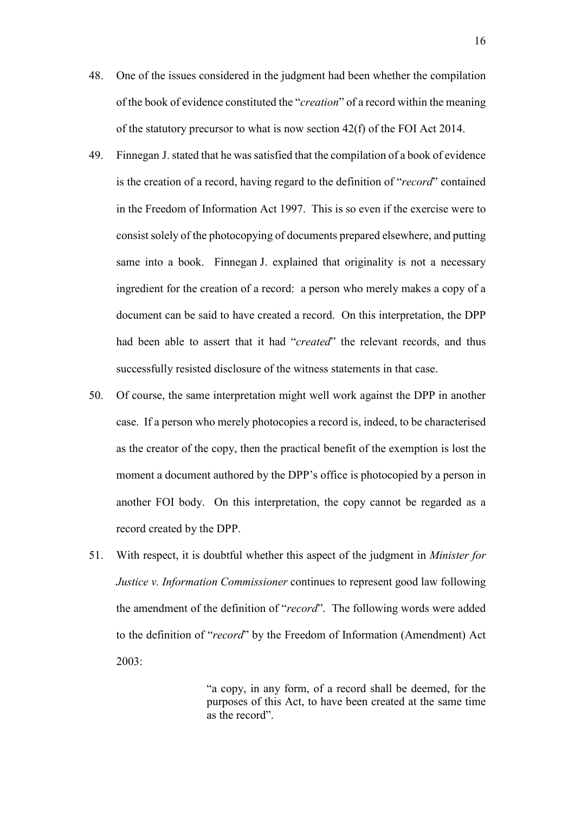- 48. One of the issues considered in the judgment had been whether the compilation of the book of evidence constituted the "*creation*" of a record within the meaning of the statutory precursor to what is now section 42(f) of the FOI Act 2014.
- 49. Finnegan J. stated that he was satisfied that the compilation of a book of evidence is the creation of a record, having regard to the definition of "*record*" contained in the Freedom of Information Act 1997. This is so even if the exercise were to consist solely of the photocopying of documents prepared elsewhere, and putting same into a book. Finnegan J. explained that originality is not a necessary ingredient for the creation of a record: a person who merely makes a copy of a document can be said to have created a record. On this interpretation, the DPP had been able to assert that it had "*created*" the relevant records, and thus successfully resisted disclosure of the witness statements in that case.
- 50. Of course, the same interpretation might well work against the DPP in another case. If a person who merely photocopies a record is, indeed, to be characterised as the creator of the copy, then the practical benefit of the exemption is lost the moment a document authored by the DPP's office is photocopied by a person in another FOI body. On this interpretation, the copy cannot be regarded as a record created by the DPP.
- 51. With respect, it is doubtful whether this aspect of the judgment in *Minister for Justice v. Information Commissioner* continues to represent good law following the amendment of the definition of "*record*". The following words were added to the definition of "*record*" by the Freedom of Information (Amendment) Act 2003:

"a copy, in any form, of a record shall be deemed, for the purposes of this Act, to have been created at the same time as the record".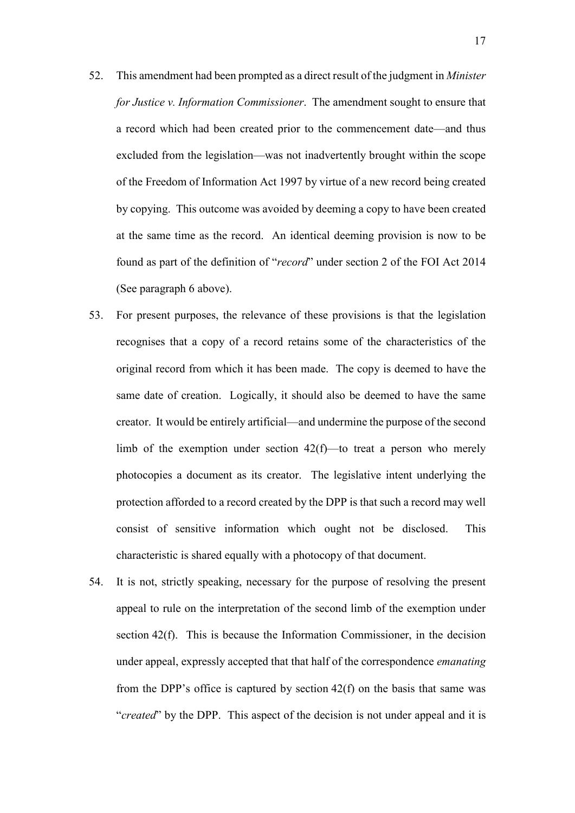- 52. This amendment had been prompted as a direct result of the judgment in *Minister for Justice v. Information Commissioner*. The amendment sought to ensure that a record which had been created prior to the commencement date—and thus excluded from the legislation—was not inadvertently brought within the scope of the Freedom of Information Act 1997 by virtue of a new record being created by copying. This outcome was avoided by deeming a copy to have been created at the same time as the record. An identical deeming provision is now to be found as part of the definition of "*record*" under section 2 of the FOI Act 2014 (See paragraph [6](#page-2-0) above).
- 53. For present purposes, the relevance of these provisions is that the legislation recognises that a copy of a record retains some of the characteristics of the original record from which it has been made. The copy is deemed to have the same date of creation. Logically, it should also be deemed to have the same creator. It would be entirely artificial—and undermine the purpose of the second limb of the exemption under section 42(f)—to treat a person who merely photocopies a document as its creator. The legislative intent underlying the protection afforded to a record created by the DPP is that such a record may well consist of sensitive information which ought not be disclosed. This characteristic is shared equally with a photocopy of that document.
- 54. It is not, strictly speaking, necessary for the purpose of resolving the present appeal to rule on the interpretation of the second limb of the exemption under section 42(f). This is because the Information Commissioner, in the decision under appeal, expressly accepted that that half of the correspondence *emanating*  from the DPP's office is captured by section 42(f) on the basis that same was "*created*" by the DPP. This aspect of the decision is not under appeal and it is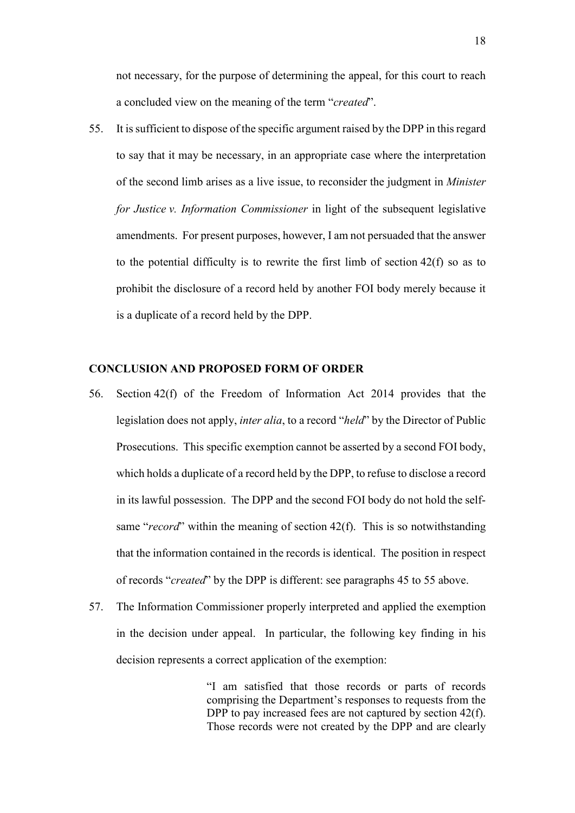not necessary, for the purpose of determining the appeal, for this court to reach a concluded view on the meaning of the term "*created*".

<span id="page-17-0"></span>55. It is sufficient to dispose of the specific argument raised by the DPP in this regard to say that it may be necessary, in an appropriate case where the interpretation of the second limb arises as a live issue, to reconsider the judgment in *Minister for Justice v. Information Commissioner* in light of the subsequent legislative amendments. For present purposes, however, I am not persuaded that the answer to the potential difficulty is to rewrite the first limb of section 42(f) so as to prohibit the disclosure of a record held by another FOI body merely because it is a duplicate of a record held by the DPP.

### **CONCLUSION AND PROPOSED FORM OF ORDER**

- 56. Section 42(f) of the Freedom of Information Act 2014 provides that the legislation does not apply, *inter alia*, to a record "*held*" by the Director of Public Prosecutions. This specific exemption cannot be asserted by a second FOI body, which holds a duplicate of a record held by the DPP, to refuse to disclose a record in its lawful possession. The DPP and the second FOI body do not hold the selfsame "*record*" within the meaning of section 42(f). This is so notwithstanding that the information contained in the records is identical. The position in respect of records "*created*" by the DPP is different: see paragraphs [45](#page-13-0) to [55](#page-17-0) above.
- 57. The Information Commissioner properly interpreted and applied the exemption in the decision under appeal. In particular, the following key finding in his decision represents a correct application of the exemption:

"I am satisfied that those records or parts of records comprising the Department's responses to requests from the DPP to pay increased fees are not captured by section 42(f). Those records were not created by the DPP and are clearly